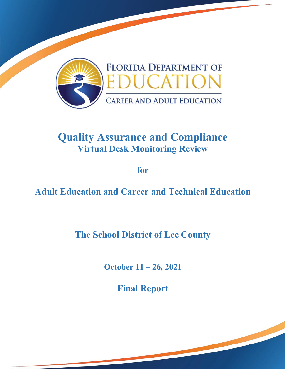

# **Quality Assurance and Compliance Virtual Desk Monitoring Review**

**for** 

**Adult Education and Career and Technical Education** 

**The School District of Lee County** 

**October 11 – 26, 2021**

**Final Report**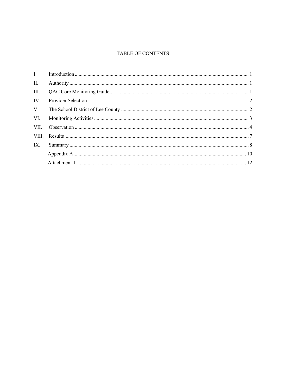#### TABLE OF CONTENTS

| $\Pi$ . |  |
|---------|--|
| III.    |  |
| IV.     |  |
| V.      |  |
| VI.     |  |
|         |  |
|         |  |
| IX.     |  |
|         |  |
|         |  |
|         |  |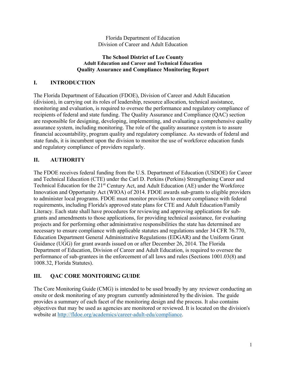Florida Department of Education Division of Career and Adult Education

#### **The School District of Lee County Adult Education and Career and Technical Education Quality Assurance and Compliance Monitoring Report**

## **I. INTRODUCTION**

The Florida Department of Education (FDOE), Division of Career and Adult Education (division), in carrying out its roles of leadership, resource allocation, technical assistance, monitoring and evaluation, is required to oversee the performance and regulatory compliance of recipients of federal and state funding. The Quality Assurance and Compliance (QAC) section are responsible for designing, developing, implementing, and evaluating a comprehensive quality assurance system, including monitoring. The role of the quality assurance system is to assure financial accountability, program quality and regulatory compliance. As stewards of federal and state funds, it is incumbent upon the division to monitor the use of workforce education funds and regulatory compliance of providers regularly.

# **II. AUTHORITY**

The FDOE receives federal funding from the U.S. Department of Education (USDOE) for Career and Technical Education (CTE) under the Carl D. Perkins (Perkins) Strengthening Career and Technical Education for the 21<sup>st</sup> Century Act, and Adult Education (AE) under the Workforce Innovation and Opportunity Act (WIOA) of 2014. FDOE awards sub-grants to eligible providers to administer local programs. FDOE must monitor providers to ensure compliance with federal requirements, including Florida's approved state plans for CTE and Adult Education/Family Literacy. Each state shall have procedures for reviewing and approving applications for subgrants and amendments to those applications, for providing technical assistance, for evaluating projects and for performing other administrative responsibilities the state has determined are necessary to ensure compliance with applicable statutes and regulations under 34 CFR 76.770, Education Department General Administrative Regulations (EDGAR) and the Uniform Grant Guidance (UGG) for grant awards issued on or after December 26, 2014. The Florida Department of Education, Division of Career and Adult Education, is required to oversee the performance of sub-grantees in the enforcement of all laws and rules (Sections 1001.03(8) and 1008.32, Florida Statutes).

# **III. QAC CORE MONITORING GUIDE**

 The Core Monitoring Guide (CMG) is intended to be used broadly by any reviewer conducting an onsite or desk monitoring of any program currently administered by the division. The guide provides a summary of each facet of the monitoring design and the process. It also contains objectives that may be used as agencies are monitored or reviewed. It is located on the division's website at http://fldoe.org/academics/career-adult-edu/compliance.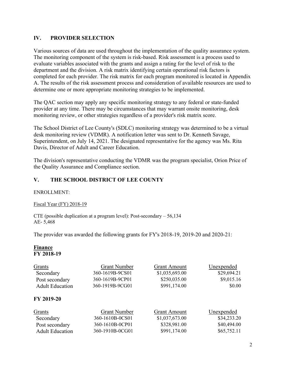# **IV. PROVIDER SELECTION**

Various sources of data are used throughout the implementation of the quality assurance system. The monitoring component of the system is risk-based. Risk assessment is a process used to evaluate variables associated with the grants and assign a rating for the level of risk to the department and the division. A risk matrix identifying certain operational risk factors is completed for each provider. The risk matrix for each program monitored is located in Appendix A. The results of the risk assessment process and consideration of available resources are used to determine one or more appropriate monitoring strategies to be implemented.

The QAC section may apply any specific monitoring strategy to any federal or state-funded provider at any time. There may be circumstances that may warrant onsite monitoring, desk monitoring review, or other strategies regardless of a provider's risk matrix score.

The School District of Lee County's (SDLC) monitoring strategy was determined to be a virtual desk monitoring review (VDMR). A notification letter was sent to Dr. Kenneth Savage, Superintendent, on July 14, 2021. The designated representative for the agency was Ms. Rita Davis, Director of Adult and Career Education.

The division's representative conducting the VDMR was the program specialist, Orion Price of the Quality Assurance and Compliance section.

# **V. THE SCHOOL DISTRICT OF LEE COUNTY**

### ENROLLMENT:

Fiscal Year (FY) 2018-19

 CTE (possible duplication at a program level): Post-secondary – 56,134 AE- 5,468

The provider was awarded the following grants for FY's 2018-19, 2019-20 and 2020-21:

### **Finance FY 2018-19**

| Grants                 | <b>Grant Number</b> | <b>Grant Amount</b> | Unexpended  |
|------------------------|---------------------|---------------------|-------------|
| Secondary              | 360-1619B-9CS01     | \$1,035,693.00      | \$29,694.21 |
| Post secondary         | 360-1619B-9CP01     | \$250,035.00        | \$9,015.16  |
| <b>Adult Education</b> | 360-1919B-9CG01     | \$991,174.00        | \$0.00      |
| FY 2019-20             |                     |                     |             |
| Grants                 | <b>Grant Number</b> | <b>Grant Amount</b> | Unexpended  |
| Secondary              | 360-1610B-0CS01     | \$1,037,673.00      | \$34,233.20 |
| Post secondary         | 360-1610B-0CP01     | \$328,981.00        | \$40,494.00 |
| <b>Adult Education</b> | 360-1910B-0CG01     | \$991,174.00        | \$65,752.11 |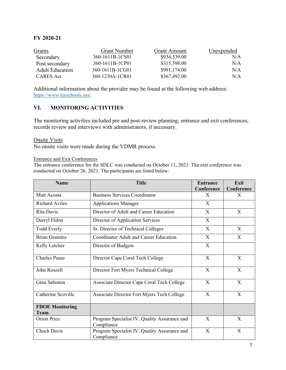# **FY 2020-21**

| Grants                 | <b>Grant Number</b> | <b>Grant Amount</b> | Unexpended |
|------------------------|---------------------|---------------------|------------|
| Secondary              | 360-1611B-1CS01     | \$934,339.00        | N/A        |
| Post secondary         | 360-1611B-1CP01     | \$315,598.00        | N/A        |
| <b>Adult Education</b> | 360-1611B-1CG01     | \$991,174.00        | N/A        |
| CARES Act              | 360-1230A-1CR01     | \$367,492.00        | N/A        |

Additional information about the provider may be found at the following web address: https://www.leeschools.net/.

## **VI. MONITORING ACTIVITIES**

The monitoring activities included pre and post-review planning, entrance and exit conferences, records review and interviews with administrators, if necessary.

Onsite Visits

No onsite visits were made during the VDMR process.

Entrance and Exit Conferences

The entrance conference for the SDLC was conducted on October 11, 2021. The exit conference was conducted on October 26, 2021. The participants are listed below:

| <b>Name</b>                    | <b>Title</b>                                               | <b>Entrance</b> | Exit       |
|--------------------------------|------------------------------------------------------------|-----------------|------------|
|                                |                                                            | Conference      | Conference |
| Matt Acosta                    | <b>Business Services Coordinator</b>                       | X               | X          |
| <b>Richard Aviles</b>          | <b>Applications Manager</b>                                | X               |            |
| Rita Davis                     | Director of Adult and Career Education                     | X               | X          |
| Darryl Eldon                   | Director of Application Services                           | X               |            |
| <b>Todd Everly</b>             | Sr. Director of Technical Colleges                         | $\mathbf{X}$    | X          |
| <b>Brian Granstra</b>          | Coordinator Adult and Career Education                     | $\mathbf{X}$    | X          |
| Kelly Letcher                  | Director of Budgets                                        | X               |            |
| <b>Charles</b> Pease           | Director Cape Coral Tech College                           | X               | X          |
| John Roszell                   | Director Fort Myers Technical College                      | $\mathbf{X}$    | X          |
| Gina Sabiston                  | Associate Director Cape Coral Tech College                 | X               | X          |
| Catherine Scoville             | Associate Director Fort Myers Tech College                 | X               | X          |
| <b>FDOE Monitoring</b><br>Team |                                                            |                 |            |
| Orion Price                    | Program Specialist IV, Quality Assurance and<br>Compliance | X               | X          |
| Chuck Davis                    | Program Specialist IV, Quality Assurance and<br>Compliance | X               | X          |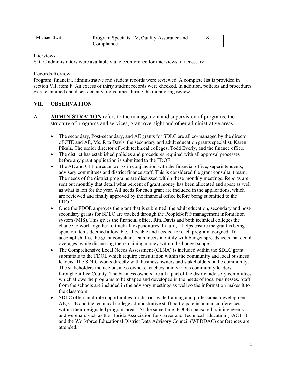| Michael Swift | Program Specialist IV, Quality Assurance and |  |  |
|---------------|----------------------------------------------|--|--|
|               | compliance                                   |  |  |

#### Interviews

SDLC administrators were available via teleconference for interviews, if necessary.

Records Review

Program, financial, administrative and student records were reviewed. A complete list is provided in section VII, item F. An excess of thirty student records were checked. In addition, policies and procedures were examined and discussed at various times during the monitoring review.

### **VII. OBSERVATION**

- **A. ADMINISTRATION** refers to the management and supervision of programs, the structure of programs and services, grant oversight and other administrative areas.
	- The secondary, Post-secondary, and AE grants for SDLC are all co-managed by the director of CTE and AE, Ms. Rita Davis, the secondary and adult education grants specialist, Karen Pikula, The senior director of both technical colleges, Todd Everly, and the finance office.
	- The district has established policies and procedures required with all approval processes before any grant application is submitted to the FDOE.
	- The AE and CTE director works in conjunction with the financial office, superintendents, advisory committees and district finance staff. This is considered the grant consultant team. The needs of the district programs are discussed within these monthly meetings. Reports are sent out monthly that detail what percent of grant money has been allocated and spent as well as what is left for the year. All needs for each grant are included in the applications, which are reviewed and finally approved by the financial office before being submitted to the FDOE.
	- Once the FDOE approves the grant that is submitted, the adult education, secondary and postsecondary grants for SDLC are tracked through the PeopleSoft® management information system (MIS). This gives the financial office, Rita Davis and both technical colleges the chance to work together to track all expenditures. In turn, it helps ensure the grant is being spent on items deemed allowable, allocable and needed for each program assigned. To accomplish this, the grant consultant team meets monthly with budget spreadsheets that detail overages, while discussing the remaining money within the budget scope.
	- The Comprehensive Local Needs Assessment (CLNA) is included within the SDLC grant submittals to the FDOE which require consultation within the community and local business leaders. The SDLC works directly with business owners and stakeholders in the community. The stakeholders include business owners, teachers, and various community leaders throughout Lee County. The business owners are all a part of the district advisory committees which allows the programs to be shaped and developed in the needs of local businesses. Staff from the schools are included in the advisory meetings as well so the information makes it to the classroom.
	- SDLC offers multiple opportunities for district-wide training and professional development. AE, CTE and the technical college administrative staff participate in annual conferences within their designated program areas. At the same time, FDOE sponsored training events and webinars such as the Florida Association for Career and Technical Education (FACTE) and the Workforce Educational District Data Advisory Council (WEDDAC) conferences are attended.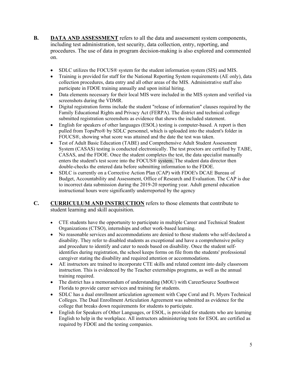- **B. DATA AND ASSESSMENT** refers to all the data and assessment system components, including test administration, test security, data collection, entry, reporting, and procedures. The use of data in program decision-making is also explored and commented on.
	- SDLC utilizes the FOCUS® system for the student information system (SIS) and MIS.
	- participate in FDOE training annually and upon initial hiring. • Training is provided for staff for the National Reporting System requirements (AE only), data collection procedures, data entry and all other areas of the MIS. Administrative staff also
	- Data elements necessary for their local MIS were included in the MIS system and verified via screenshots during the VDMR.
	- Digital registration forms include the student "release of information" clauses required by the Family Educational Rights and Privacy Act (FERPA). The district and technical college submitted registration screenshots as evidence that shows the included statement.
	- English for speakers of other languages (ESOL) testing is computer-based. A report is then pulled from TopsPro® by SDLC personnel, which is uploaded into the student's folder in FOUCS®, showing what score was attained and the date the test was taken.
	- Test of Adult Basic Education (TABE) and Comprehensive Adult Student Assessment System (CASAS) testing is conducted electronically. The test proctors are certified by TABE, CASAS, and the FDOE. Once the student completes the test, the data specialist manually enters the student's test score into the FOCUS® system. The student data director then double-checks the entered data before submitting information to the FDOE.
	- instructional hours were significantly underreported by the agency SDLC is currently on a Corrective Action Plan (CAP) with FDOE's DCAE Bureau of Budget, Accountability and Assessment, Office of Research and Evaluation. The CAP is due to incorrect data submission during the 2019-20 reporting year. Adult general education
- **C. CURRICULUM AND INSTRUCTION** refers to those elements that contribute to student learning and skill acquisition.
	- CTE students have the opportunity to participate in multiple Career and Technical Student Organizations (CTSO), internships and other work-based learning.
	- No reasonable services and accommodations are denied to those students who self-declared a disability. They refer to disabled students as exceptional and have a comprehensive policy and procedure to identify and cater to needs based on disability. Once the student selfidentifies during registration, the school keeps forms on file from the students' professional caregiver stating the disability and required attention or accommodations.
	- AE instructors are trained to incorporate CTE skills and related content into daily classroom instruction. This is evidenced by the Teacher externships programs, as well as the annual training required.
	- The district has a memorandum of understanding (MOU) with CareerSource Southwest Florida to provide career services and training for students.
	- SDLC has a dual enrollment articulation agreement with Cape Coral and Ft. Myers Technical Colleges. The Dual Enrollment Articulation Agreement was submitted as evidence for the college that breaks down requirements for students to participate.
	- English for Speakers of Other Languages, or ESOL, is provided for students who are learning English to help in the workplace. All instructors administering tests for ESOL are certified as required by FDOE and the testing companies.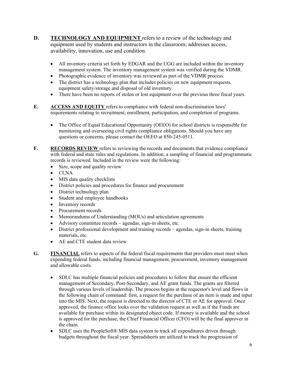- **D. TECHNOLOGY AND EQUIPMENT** refers to a review of the technology and equipment used by students and instructors in the classroom; addresses access, availability, innovation, use and condition.
	- management system. The inventory management system was verified during the VDMR. All inventory criteria set forth by EDGAR and the UGG are included within the inventory
	- Photographic evidence of inventory was reviewed as part of the VDMR process.
	- The district has a technology plan that includes policies on new equipment requests, equipment safety/storage and disposal of old inventory.
	- There have been no reports of stolen or lost equipment over the previous three fiscal years.
- **E. ACCESS AND EQUITY** refers to compliance with federal non-discrimination laws' requirements relating to recruitment, enrollment, participation, and completion of programs.
	- The Office of Equal Educational Opportunity (OEEO) for school districts is responsible for monitoring and overseeing civil rights compliance obligations. Should you have any questions or concerns, please contact the OEEO at 850-245-0511.
- **F.** RECORDS REVIEW refers to reviewing the records and documents that evidence compliance with federal and state rules and regulations. In addition, a sampling of financial and programmatic records is reviewed. Included in the review were the following:
	- Size, scope and quality review
	- CLNA
	- MIS data quality checklists
	- District policies and procedures for finance and procurement
	- District technology plan
	- Student and employee handbooks
	- Inventory records
	- Procurement records
	- Memorandums of Understanding (MOUs) and articulation agreements
	- Advisory committee records agendas, sign-in sheets, etc.
	- materials, etc. District professional development and training records – agendas, sign-in sheets, training
	- AE and CTE student data review
- **G. FINANCIAL** refers to aspects of the federal fiscal requirements that providers must meet when expending federal funds, including financial management, procurement, inventory management and allowable costs.
	- SDLC has multiple financial policies and procedures to follow that ensure the efficient management of Secondary, Post-Secondary, and AE grant funds. The grants are filtered through various levels of leadership. The process begins at the requestor's level and flows in the following chain of command: first, a request for the purchase of an item is made and input into the MIS. Next, the request is directed to the director of CTE or AE for approval. Once approved, the finance office looks over the validation request as well as if the Funds are available for purchase within its designated object code. If money is available and the school is approved for the purchase, the Chief Financial Officer (CFO) will be the final approver in the chain.
	- SDLC uses the PeopleSoft® MIS data system to track all expenditures driven through budgets throughout the fiscal year. Spreadsheets are utilized to track the progression of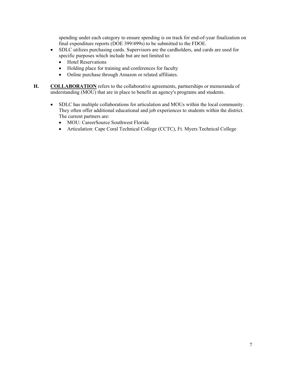spending under each category to ensure spending is on track for end-of-year finalization on final expenditure reports (DOE 399/499s) to be submitted to the FDOE.

- SDLC utilizes purchasing cards. Supervisors are the cardholders, and cards are used for specific purposes which include but are not limited to:
	- Hotel Reservations
	- Holding place for training and conferences for faculty
	- Online purchase through Amazon or related affiliates.
- **H. COLLABORATION** refers to the collaborative agreements, partnerships or memoranda of understanding (MOU) that are in place to benefit an agency's programs and students.
	- SDLC has multiple collaborations for articulation and MOUs within the local community. They often offer additional educational and job experiences to students within the district. The current partners are:
		- MOU: CareerSource Southwest Florida
		- Articulation: Cape Coral Technical College (CCTC), Ft. Myers Technical College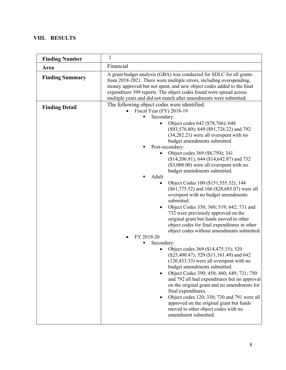# **VIII. RESULTS**

| <b>Finding Number</b>  | 1                                                                                                                                                                                                                                                                                                                                                                                                                                                                                                                                                                                                                                                                                                                                                                                                                                                                                                                                                                                                                                                                                                                                                                                                                                                          |  |  |  |
|------------------------|------------------------------------------------------------------------------------------------------------------------------------------------------------------------------------------------------------------------------------------------------------------------------------------------------------------------------------------------------------------------------------------------------------------------------------------------------------------------------------------------------------------------------------------------------------------------------------------------------------------------------------------------------------------------------------------------------------------------------------------------------------------------------------------------------------------------------------------------------------------------------------------------------------------------------------------------------------------------------------------------------------------------------------------------------------------------------------------------------------------------------------------------------------------------------------------------------------------------------------------------------------|--|--|--|
| Area                   | Financial                                                                                                                                                                                                                                                                                                                                                                                                                                                                                                                                                                                                                                                                                                                                                                                                                                                                                                                                                                                                                                                                                                                                                                                                                                                  |  |  |  |
| <b>Finding Summary</b> | A grant budget analysis (GBA) was conducted for SDLC for all grants<br>from 2018-2021. There were multiple errors, including overspending,<br>money approved but not spent, and new object codes added to the final<br>expenditure 399 reports. The object codes found were spread across<br>multiple years and did not match after amendments were submitted.                                                                                                                                                                                                                                                                                                                                                                                                                                                                                                                                                                                                                                                                                                                                                                                                                                                                                             |  |  |  |
| <b>Finding Detail</b>  | The following object codes were identified:<br>Fiscal Year (FY) 2018-19<br>Secondary:<br>Object codes 642 (\$78,766); 648<br>(\$93,576.80); 649 (\$91,724.22) and 792<br>$(34,282.21)$ were all overspent with no<br>budget amendments submitted.<br>Post-secondary:<br>Object codes 369 (\$8,750); 341<br>$\bullet$<br>(\$14,206.81); 644 (\$14,642.87) and 732<br>$($3,008.00)$ were all overspent with no<br>budget amendments submitted.<br>Adult<br>Object Codes 100 (\$151,555.32); 144<br>$\bullet$<br>(\$61,775.52) and 166 (\$28,685.07) were all<br>overspent with no budget amendments<br>submitted.<br>Object Codes 330; 360; 519; 642; 731 and<br>732 were previously approved on the<br>original grant but funds moved to other<br>object codes for final expenditures in other<br>object codes without amendments submitted.<br>FY 2019-20<br>Secondary:<br>Object codes 369 (\$14,475.15); 520<br>(\$25,400.47); 529 (\$11,161.49) and 642<br>$(120, 433.33)$ were all overspent with no<br>budget amendments submitted.<br>Object Codes 390; 450; 460; 649; 731; 750<br>and 792 all had expenditures but no approval<br>on the original grant and no amendments for<br>final expenditures.<br>Object codes 120; 330; 730 and 791 were all |  |  |  |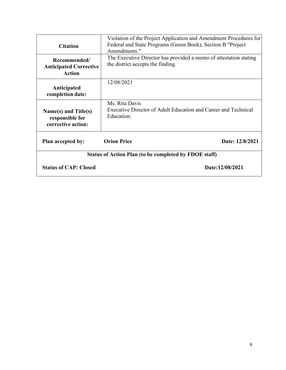| <b>Citation</b>                                                | Violation of the Project Application and Amendment Procedures for<br>Federal and State Programs (Green Book), Section B "Project<br>Amendments." |                 |  |  |
|----------------------------------------------------------------|--------------------------------------------------------------------------------------------------------------------------------------------------|-----------------|--|--|
| Recommended/<br><b>Anticipated Corrective</b><br><b>Action</b> | The Executive Director has provided a memo of attestation stating<br>the district accepts the finding.                                           |                 |  |  |
| Anticipated<br>completion date:                                | 12/08/2021                                                                                                                                       |                 |  |  |
| Name(s) and Title(s)<br>responsible for<br>corrective action:  | Ms. Rita Davis<br>Executive Director of Adult Education and Career and Technical<br>Education.                                                   |                 |  |  |
| Plan accepted by:                                              | <b>Orion Price</b>                                                                                                                               | Date: 12/8/2021 |  |  |
| Status of Action Plan (to be completed by FDOE staff)          |                                                                                                                                                  |                 |  |  |
| <b>Status of CAP: Closed</b>                                   |                                                                                                                                                  | Date:12/08/2021 |  |  |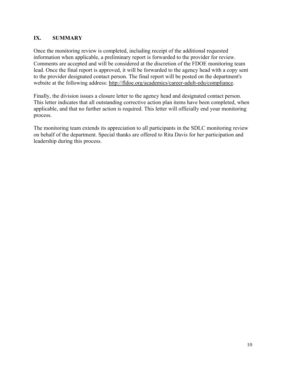# **IX. SUMMARY**

Once the monitoring review is completed, including receipt of the additional requested information when applicable, a preliminary report is forwarded to the provider for review. Comments are accepted and will be considered at the discretion of the FDOE monitoring team lead. Once the final report is approved, it will be forwarded to the agency head with a copy sent to the provider designated contact person. The final report will be posted on the department's website at the following address: http://fldoe.org/academics/career-adult-edu/compliance.

Finally, the division issues a closure letter to the agency head and designated contact person. This letter indicates that all outstanding corrective action plan items have been completed, when applicable, and that no further action is required. This letter will officially end your monitoring process.

The monitoring team extends its appreciation to all participants in the SDLC monitoring review on behalf of the department. Special thanks are offered to Rita Davis for her participation and leadership during this process.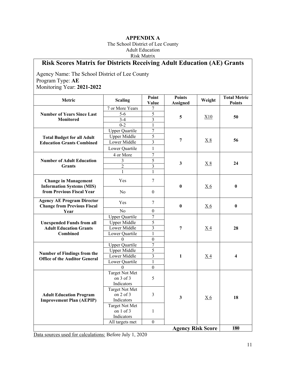## **APPENDIX A**

 Risk Matrix The School District of Lee County Adult Education

# **Risk Scores Matrix for Districts Receiving Adult Education (AE) Grants**

Agency Name: The School District of Lee County Program Type: **AE**  Monitoring Year: **2021-2022** 

| Metric                                                                  | <b>Scaling</b>                     | Point<br>Value                 | <b>Points</b><br><b>Assigned</b> | Weight         | <b>Total Metric</b><br><b>Points</b> |
|-------------------------------------------------------------------------|------------------------------------|--------------------------------|----------------------------------|----------------|--------------------------------------|
|                                                                         | 7 or More Years                    | 7                              |                                  |                |                                      |
| <b>Number of Years Since Last</b>                                       | $5-6$                              | 5                              | 5                                |                | 50                                   |
| <b>Monitored</b>                                                        | $3-4$                              | $\overline{\mathbf{3}}$        |                                  | X10            |                                      |
|                                                                         | $0 - 2$                            | $\mathbf{1}$                   |                                  |                |                                      |
|                                                                         | <b>Upper Quartile</b>              | $\overline{7}$                 |                                  |                | 56                                   |
| <b>Total Budget for all Adult</b>                                       | <b>Upper Middle</b>                | 5                              |                                  |                |                                      |
| <b>Education Grants Combined</b>                                        | Lower Middle                       | $\overline{\mathbf{3}}$        | 7                                | X8             |                                      |
|                                                                         | Lower Quartile                     | $\mathbf{1}$                   |                                  |                |                                      |
|                                                                         | 4 or More                          | $\tau$                         |                                  |                |                                      |
| <b>Number of Adult Education</b>                                        | 3                                  | $\overline{5}$                 | $\mathbf{3}$                     |                |                                      |
| <b>Grants</b>                                                           | $\overline{2}$                     | $\overline{3}$                 |                                  | X8             | 24                                   |
|                                                                         | $\mathbf{1}$                       | $\mathbf{1}$                   |                                  |                |                                      |
| <b>Change in Management</b><br><b>Information Systems (MIS)</b>         | Yes                                | 7                              | $\bf{0}$                         |                | $\bf{0}$                             |
| from Previous Fiscal Year                                               | No                                 | $\boldsymbol{0}$               |                                  | <u>X6</u>      |                                      |
| <b>Agency AE Program Director</b><br><b>Change from Previous Fiscal</b> | Yes                                | 7                              | $\boldsymbol{0}$                 | <u>X6</u>      | $\bf{0}$                             |
| Year                                                                    | N <sub>o</sub>                     | $\mathbf{0}$                   |                                  |                |                                      |
|                                                                         | <b>Upper Quartile</b>              | 7                              |                                  |                | 28                                   |
| <b>Unexpended Funds from all</b>                                        | <b>Upper Middle</b>                | $\overline{5}$                 | $\overline{7}$                   | $X_4$          |                                      |
| <b>Adult Education Grants</b>                                           | Lower Middle                       | 3                              |                                  |                |                                      |
| <b>Combined</b>                                                         | Lower Quartile                     | 1                              |                                  |                |                                      |
|                                                                         | $\theta$                           | $\mathbf{0}$                   |                                  |                |                                      |
|                                                                         | <b>Upper Quartile</b>              | $\overline{7}$                 | 1                                | X <sub>4</sub> |                                      |
| Number of Findings from the                                             | <b>Upper Middle</b>                | 5                              |                                  |                |                                      |
| <b>Office of the Auditor General</b>                                    | Lower Middle                       | 3                              |                                  |                | $\overline{\mathbf{4}}$              |
|                                                                         | Lower Quartile                     | $\mathbf{1}$                   |                                  |                |                                      |
|                                                                         | $\theta$                           | $\mathbf{0}$                   |                                  |                |                                      |
|                                                                         | <b>Target Not Met</b>              |                                |                                  |                |                                      |
|                                                                         | on 3 of 3                          | 5                              |                                  |                |                                      |
|                                                                         | Indicators                         |                                |                                  |                |                                      |
|                                                                         | <b>Target Not Met</b>              |                                |                                  |                |                                      |
| <b>Adult Education Program</b>                                          | on $2$ of $3$                      | $\mathfrak{Z}$<br>$\mathbf{3}$ | X6                               | 18             |                                      |
| <b>Improvement Plan (AEPIP)</b>                                         | Indicators                         |                                |                                  |                |                                      |
|                                                                         | <b>Target Not Met</b><br>on 1 of 3 |                                |                                  |                |                                      |
|                                                                         | Indicators                         | $\mathbf{1}$                   |                                  |                |                                      |
|                                                                         | All targets met                    | $\boldsymbol{0}$               |                                  |                |                                      |
|                                                                         |                                    |                                | <b>Agency Risk Score</b>         |                | 180                                  |

Data sources used for calculations: Before July 1, 2020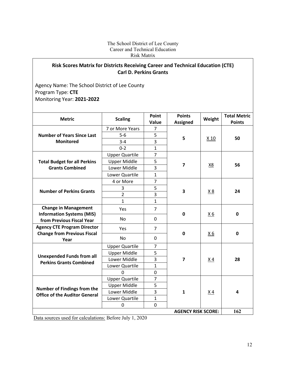#### The School District of Lee County Career and Technical Education Risk Matrix

# **Risk Scores Matrix for Districts Receiving Career and Technical Education (CTE) Carl D. Perkins Grants**

Agency Name: The School District of Lee County Program Type: **CTE** Monitoring Year: **2021‐2022**

| <b>Metric</b>                                                            | <b>Scaling</b>                   | Point<br>Value | <b>Points</b><br><b>Assigned</b> | Weight           | <b>Total Metric</b><br><b>Points</b> |
|--------------------------------------------------------------------------|----------------------------------|----------------|----------------------------------|------------------|--------------------------------------|
|                                                                          | 7 or More Years                  | $\overline{7}$ |                                  |                  |                                      |
| <b>Number of Years Since Last</b>                                        | $5-6$                            | 5              |                                  |                  |                                      |
| <b>Monitored</b>                                                         | $3 - 4$                          | 3              | 5                                | X <sub>10</sub>  | 50                                   |
|                                                                          | $0 - 2$                          | $\mathbf{1}$   |                                  |                  |                                      |
|                                                                          | <b>Upper Quartile</b>            | $\overline{7}$ |                                  |                  |                                      |
| <b>Total Budget for all Perkins</b>                                      | <b>Upper Middle</b>              | 5              |                                  |                  |                                      |
| <b>Grants Combined</b>                                                   | Lower Middle                     | 3              | $\overline{\mathbf{z}}$          | X8               | 56                                   |
|                                                                          | Lower Quartile                   | $\mathbf{1}$   |                                  |                  |                                      |
|                                                                          | 4 or More                        | $\overline{7}$ |                                  |                  |                                      |
|                                                                          | 3                                | 5              |                                  |                  |                                      |
| <b>Number of Perkins Grants</b>                                          | $\overline{2}$                   | 3              | 3                                | <u>X 8</u>       | 24                                   |
|                                                                          | $\mathbf{1}$                     | 1              |                                  |                  |                                      |
| <b>Change in Management</b><br><b>Information Systems (MIS)</b>          | Yes                              | $\overline{7}$ | $\mathbf 0$                      | X6               | $\mathbf 0$                          |
| from Previous Fiscal Year                                                | No                               | 0              |                                  |                  |                                      |
| <b>Agency CTE Program Director</b><br><b>Change from Previous Fiscal</b> | Yes                              | $\overline{7}$ | $\mathbf 0$                      | $X_6$            | $\mathbf 0$                          |
| Year                                                                     | No.                              | 0              |                                  |                  |                                      |
|                                                                          | <b>Upper Quartile</b>            | $\overline{7}$ | $\overline{\mathbf{z}}$          | $\underline{X4}$ |                                      |
| <b>Unexpended Funds from all</b>                                         | <b>Upper Middle</b>              | 5              |                                  |                  |                                      |
| <b>Perkins Grants Combined</b>                                           | Lower Middle                     | 3              |                                  |                  | 28                                   |
|                                                                          | Lower Quartile                   | 1              |                                  |                  |                                      |
|                                                                          | <sup>0</sup>                     | 0              |                                  |                  |                                      |
|                                                                          | <b>Upper Quartile</b>            | $\overline{7}$ | $\mathbf{1}$                     | X <sub>4</sub>   |                                      |
| Number of Findings from the                                              | <b>Upper Middle</b>              | 5              |                                  |                  |                                      |
| <b>Office of the Auditor General</b>                                     | Lower Middle                     | 3              |                                  |                  | 4                                    |
|                                                                          | Lower Quartile                   | $\mathbf{1}$   |                                  |                  |                                      |
|                                                                          | 0                                | 0              |                                  |                  |                                      |
|                                                                          | 162<br><b>AGENCY RISK SCORE:</b> |                |                                  |                  |                                      |

Data sources used for calculations: Before July 1, 2020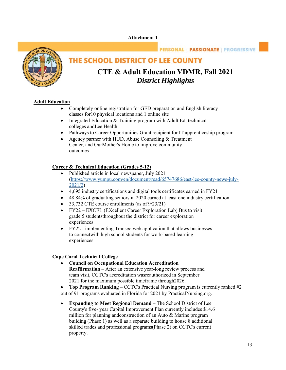#### **Attachment 1**



# **PERSONAL | PASSIONATE | PROGRESSIVE**

# THE SCHOOL DISTRICT OF LEE COUNTY

# **CTE & Adult Education VDMR, Fall 2021**  *District Highlights*

#### **Adult Education**

- Completely online registration for GED preparation and English literacy classes for 10 physical locations and 1 online site
- Integrated Education & Training program with Adult Ed, technical colleges and Lee Health
- Pathways to Career Opportunities Grant recipient for IT apprenticeship program
- Agency partner with HUD, Abuse Counseling & Treatment Center, and OurMother's Home to improve community outcomes

#### **Career & Technical Education (Grades 5-12)**

- Published article in local newspaper, July 2021 (https://www.yumpu.com/en/document/read/65747686/east-lee-county-news-july-2021/2)
- 4,695 industry certifications and digital tools certificates earned in FY21
- 48.84% of graduating seniors in 2020 earned at least one industry certification
- 33,732 CTE course enrollments (as of 9/23/21)
- FY22 EXCEL (EXcellent Career Exploration Lab) Bus to visit grade 5 students throughout the district for career exploration experiences
- FY22 implementing Transeo web application that allows businesses to connectwith high school students for work-based learning experiences

#### **Cape Coral Technical College**

- 2021 for the maximum possible timeframe through2026. **Council on Occupational Education Accreditation Reaffirmation** – After an extensive year-long review process and team visit, CCTC's accreditation was reauthorized in September
- **Top Program Ranking**  CCTC's Practical Nursing program is currently ranked #2 out of 91 programs evaluated in Florida for 2021 by PracticalNursing.org.
- **Expanding to Meet Regional Demand**  The School District of Lee County's five- year Capital Improvement Plan currently includes \$14.6 million for planning and construction of an Auto  $\&$  Marine program building (Phase 1) as well as a separate building to house 8 additional skilled trades and professional programs (Phase 2) on CCTC's current property.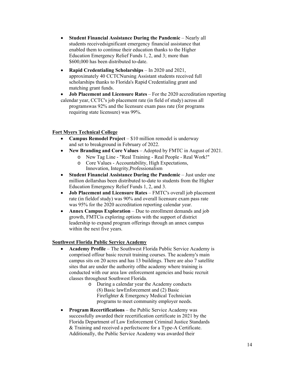- **•** Student Financial Assistance During the Pandemic Nearly all students received significant emergency financial assistance that enabled them to continue their education thanks to the Higher Education Emergency Relief Funds 1, 2, and 3; more than \$600,000 has been distributed to-date.
- **Rapid Credentialing Scholarships**  In 2020 and 2021, approximately 40 CCTC Nursing Assistant students received full scholarships thanks to Florida's Rapid Credentialing grant and matching grant funds.
- **Job Placement and Licensure Rates**  For the 2020 accreditation reporting calendar year, CCTC's job placement rate (in field of study) across all programs was 92% and the licensure exam pass rate (for programs requiring state licensure) was 99%.

#### **Fort Myers Technical College**

- and set to break ground in February of 2022. • Campus Remodel Project – \$10 million remodel is underway
- **New Branding and Core Values**  Adopted by FMTC in August of 2021.
	- o New Tag Line "Real Training Real People Real Work!"
	- o Core Values Accountability, High Expectations, Innovation, Integrity, Professionalism
- **•** Student Financial Assistance During the Pandemic Just under one million dollarshas been distributed to-date to students from the Higher Education Emergency Relief Funds 1, 2, and 3.
- **Job Placement and Licensure Rates**  FMTC's overall job placement rate (in field of study) was 90% and overall licensure exam pass rate was 95% for the 2020 accreditation reporting calendar year.
- Annex Campus Exploration Due to enrollment demands and job growth, FMTC is exploring options with the support of district leadership to expand program offerings through an annex campus within the next five years.

#### **Southwest Florida Public Service Academy**

- sites that are under the authority ofthe academy where training is **Academy Profile** – The Southwest Florida Public Service Academy is comprised of four basic recruit training courses. The academy's main campus sits on 20 acres and has 13 buildings. There are also 7 satellite conducted with our area law enforcement agencies and basic recruit classes throughout Southwest Florida.
	- programs to meet community employer needs. o During a calendar year the Academy conducts (8) Basic law Enforcement and (2) Basic Firefighter & Emergency Medical Technician
- **Program Recertifications** the Public Service Academy was successfully awarded their recertification certificate in 2021 by the Florida Department of Law Enforcement Criminal Justice Standards & Training and received a perfectscore for a Type-A Certificate. Additionally, the Public Service Academy was awarded their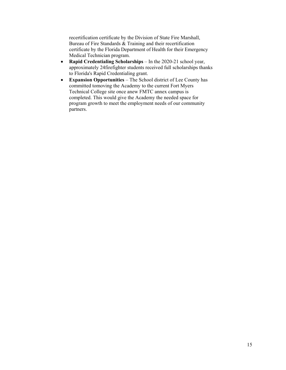recertification certificate by the Division of State Fire Marshall, Bureau of Fire Standards & Training and their recertification certificate by the Florida Department of Health for their Emergency Medical Technician program.

- **Rapid Credentialing Scholarships**  In the 2020-21 school year, approximately 24 firefighter students received full scholarships thanks to Florida's Rapid Credentialing grant.
- **Expansion Opportunities**  The School district of Lee County has committed to moving the Academy to the current Fort Myers Technical College site once anew FMTC annex campus is completed. This would give the Academy the needed space for program growth to meet the employment needs of our community partners.